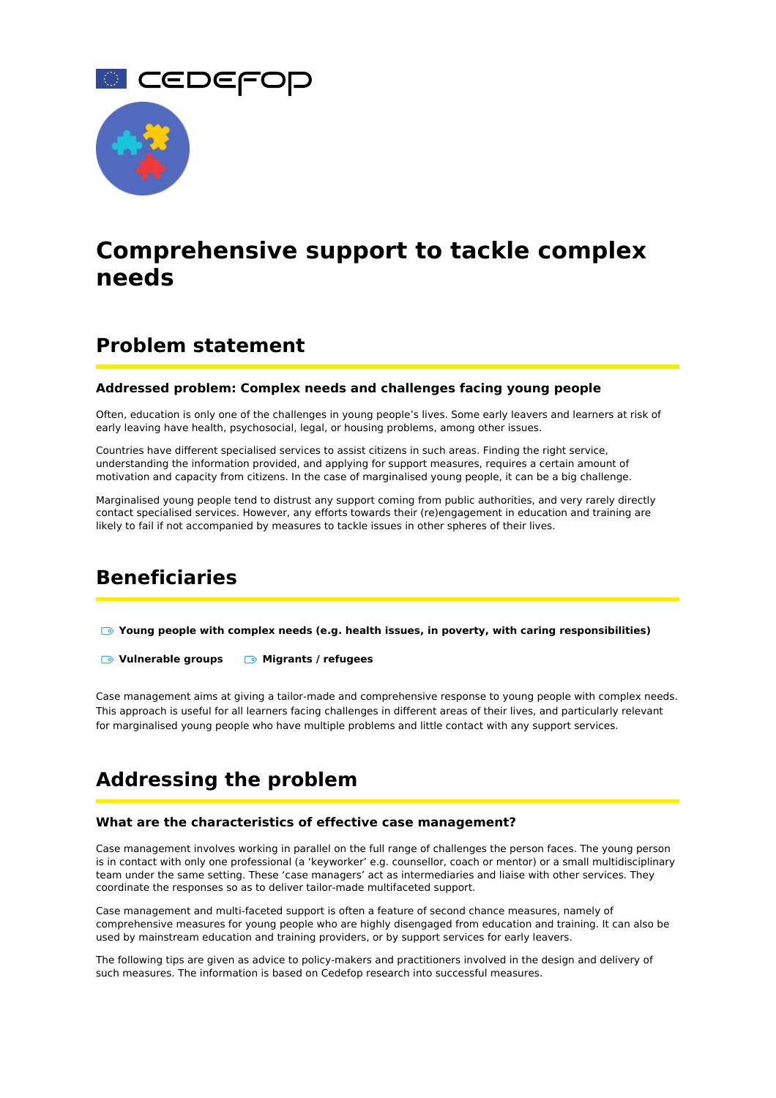



# **Comprehensive support to tackle complex needs**

# **Problem statement**

#### **Addressed problem: Complex needs and challenges facing young people**

Often, education is only one of the challenges in young people's lives. Some early leavers and learners at risk of early leaving have health, psychosocial, legal, or housing problems, among other issues.

Countries have different specialised services to assist citizens in such areas. Finding the right service, understanding the information provided, and applying for support measures, requires a certain amount of motivation and capacity from citizens. In the case of marginalised young people, it can be a big challenge.

Marginalised young people tend to distrust any support coming from public authorities, and very rarely directly contact specialised services. However, any efforts towards their (re)engagement in education and training are likely to fail if not accompanied by measures to tackle issues in other spheres of their lives.

# **Beneficiaries**

**Young people with complex needs (e.g. health issues, in poverty, with caring responsibilities)**

**Vulnerable groups Migrants / refugees**

Case management aims at giving a tailor-made and comprehensive response to young people with complex needs. This approach is useful for all learners facing challenges in different areas of their lives, and particularly relevant for marginalised young people who have multiple problems and little contact with any support services.

# **Addressing the problem**

#### **What are the characteristics of effective case management?**

Case management involves working in parallel on the full range of challenges the person faces. The young person is in contact with only one professional (a 'keyworker' e.g. counsellor, coach or mentor) or a small multidisciplinary team under the same setting. These 'case managers' act as intermediaries and liaise with other services. They coordinate the responses so as to deliver tailor-made multifaceted support.

Case management and multi-faceted support is often a feature of second chance measures, namely of comprehensive measures for young people who are highly disengaged from education and training. It can also be used by mainstream education and training providers, or by support services for early leavers.

The following tips are given as advice to policy-makers and practitioners involved in the design and delivery of such measures. The information is based on Cedefop research into successful measures.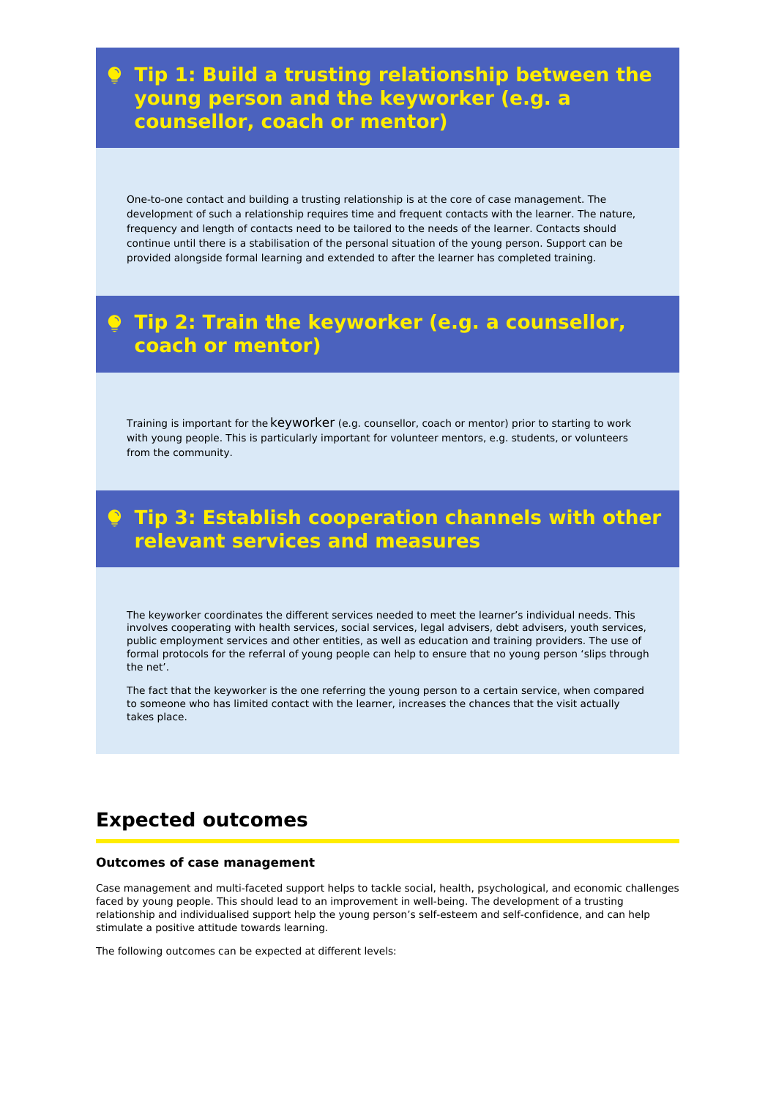# **Tip 1: Build a trusting relationship between the young person and the keyworker (e.g. a counsellor, coach or mentor)**

One-to-one contact and building a trusting relationship is at the core of case management. The development of such a relationship requires time and frequent contacts with the learner. The nature, frequency and length of contacts need to be tailored to the needs of the learner. Contacts should continue until there is a stabilisation of the personal situation of the young person. Support can be provided alongside formal learning and extended to after the learner has completed training.

# **Tip 2: Train the keyworker (e.g. a counsellor, coach or mentor)**

Training is important for the keyworker (e.g. counsellor, coach or mentor) prior to starting to work with young people. This is particularly important for volunteer mentors, e.g. students, or volunteers from the community.

# **Tip 3: Establish cooperation channels with other relevant services and measures**

The keyworker coordinates the different services needed to meet the learner's individual needs. This involves cooperating with health services, social services, legal advisers, debt advisers, youth services, public employment services and other entities, as well as education and training providers. The use of formal protocols for the referral of young people can help to ensure that no young person 'slips through the net'.

The fact that the keyworker is the one referring the young person to a certain service, when compared to someone who has limited contact with the learner, increases the chances that the visit actually takes place.

# **Expected outcomes**

#### **Outcomes of case management**

Case management and multi-faceted support helps to tackle social, health, psychological, and economic challenges faced by young people. This should lead to an improvement in well-being. The development of a trusting relationship and individualised support help the young person's self-esteem and self-confidence, and can help stimulate a positive attitude towards learning.

The following outcomes can be expected at different levels: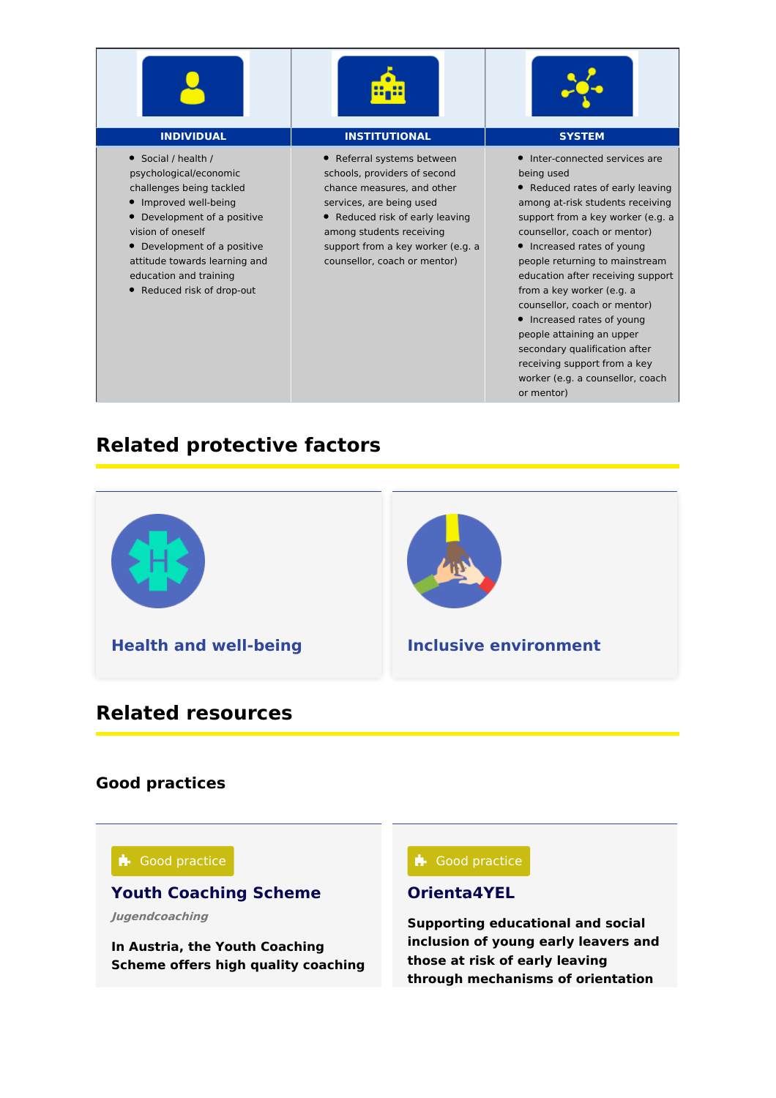





Social / health / psychological/economic challenges being tackled

- Improved well-being
- Development of a positive vision of oneself

Development of a positive attitude towards learning and education and training

Reduced risk of drop-out

#### **INDIVIDUAL INSTITUTIONAL SYSTEM**

Referral systems between schools, providers of second chance measures, and other services, are being used

Reduced risk of early leaving among students receiving support from a key worker (e.g. a counsellor, coach or mentor)

• Inter-connected services are being used

Reduced rates of early leaving among at-risk students receiving support from a key worker (e.g. a counsellor, coach or mentor)

• Increased rates of young people returning to mainstream education after receiving support from a key worker (e.g. a counsellor, coach or mentor)

• Increased rates of young people attaining an upper secondary qualification after receiving support from a key worker (e.g. a counsellor, coach or mentor)

# **Related protective factors**



# **Related resources**

# **Good practices**



**In Austria, the Youth Coaching Scheme offers high quality coaching**

#### **[Orienta4YEL](https://www.cedefop.europa.eu/en/tools/vet-toolkit-tackling-early-leaving/resources/orienta4yel)**

**Supporting educational and social inclusion of young early leavers and those at risk of early leaving through mechanisms of orientation**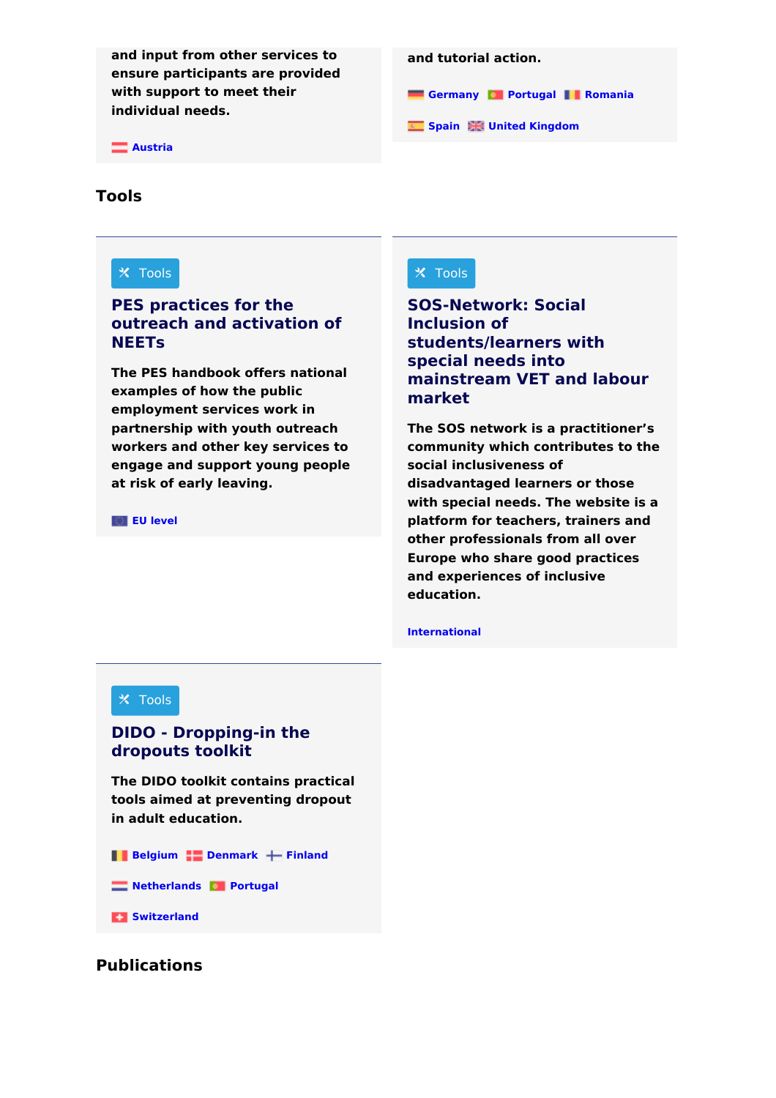**and input from other services to ensure participants are provided with support to meet their individual needs.**

**[Austria](https://www.cedefop.europa.eu/tools/vet-toolkit-tackling-early-leaving/resources?country%255B317%255D=317)**

# **[Germany](https://www.cedefop.europa.eu/tools/vet-toolkit-tackling-early-leaving/resources?country%255B326%255D=326) [Portugal](https://www.cedefop.europa.eu/tools/vet-toolkit-tackling-early-leaving/resources?country%255B338%255D=338) [Romania](https://www.cedefop.europa.eu/tools/vet-toolkit-tackling-early-leaving/resources?country%255B339%255D=339) [Spain](https://www.cedefop.europa.eu/tools/vet-toolkit-tackling-early-leaving/resources?country%255B343%255D=343) United [Kingdom](https://www.cedefop.europa.eu/tools/vet-toolkit-tackling-early-leaving/resources?country%255B344%255D=344) and tutorial action.**

### **Tools**

## $\times$  Tools

#### **PES practices for the outreach and [activation](https://www.cedefop.europa.eu/en/tools/vet-toolkit-tackling-early-leaving/resources/pes-practices-outreach-and-activation-neets) of NEETs**

**The PES handbook offers national examples of how the public employment services work in partnership with youth outreach workers and other key services to engage and support young people at risk of early leaving.**

**EU [level](https://www.cedefop.europa.eu/tools/vet-toolkit-tackling-early-leaving/resources?country%255B347%255D=347)**

### $\times$  Tools

**SOS-Network: Social Inclusion of [students/learners](https://www.cedefop.europa.eu/en/tools/vet-toolkit-tackling-early-leaving/resources/sos-network-social-inclusion-studentslearners) with special needs into mainstream VET and labour market**

**The SOS network is a practitioner's community which contributes to the social inclusiveness of disadvantaged learners or those with special needs. The website is a platform for teachers, trainers and other professionals from all over Europe who share good practices and experiences of inclusive education.**

**[International](https://www.cedefop.europa.eu/tools/vet-toolkit-tackling-early-leaving/resources?country%255B348%255D=348)**

#### $\times$  Tools

#### **DIDO - [Dropping-in](https://www.cedefop.europa.eu/en/tools/vet-toolkit-tackling-early-leaving/resources/dido-dropping-dropouts-toolkit) the dropouts toolkit**

**The DIDO toolkit contains practical tools aimed at preventing dropout in adult education.**

**[Belgium](https://www.cedefop.europa.eu/tools/vet-toolkit-tackling-early-leaving/resources?country%255B318%255D=318) [Denmark](https://www.cedefop.europa.eu/tools/vet-toolkit-tackling-early-leaving/resources?country%255B322%255D=322) [Finland](https://www.cedefop.europa.eu/tools/vet-toolkit-tackling-early-leaving/resources?country%255B324%255D=324) [Netherlands](https://www.cedefop.europa.eu/tools/vet-toolkit-tackling-early-leaving/resources?country%255B336%255D=336) [Portugal](https://www.cedefop.europa.eu/tools/vet-toolkit-tackling-early-leaving/resources?country%255B338%255D=338)**

**[Switzerland](https://www.cedefop.europa.eu/tools/vet-toolkit-tackling-early-leaving/resources?country%255B357%255D=357)** 

### **Publications**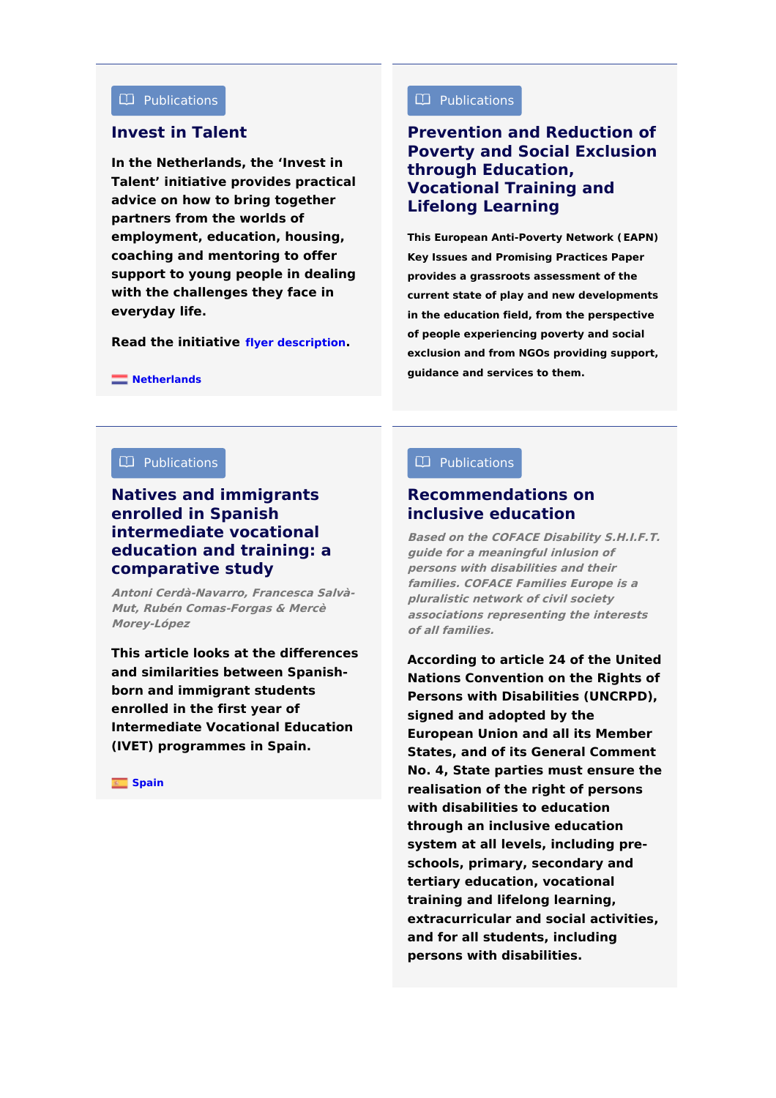#### Publications  $\Box$  Publications  $\Box$  Publications

#### **[Invest](https://www.cedefop.europa.eu/en/tools/vet-toolkit-tackling-early-leaving/resources/invest-talent) in Talent**

**In the Netherlands, the 'Invest in Talent' initiative provides practical advice on how to bring together partners from the worlds of employment, education, housing, coaching and mentoring to offer support to young people in dealing with the challenges they face in everyday life.**

**Read the initiative flyer [description](https://www.talentvooramsterdam.nl/images/tva/Talent_v_Amsterdam/EU_Invest_in_Talent__flyer_2017_1.pdf).**

### **[Prevention](https://www.cedefop.europa.eu/en/tools/vet-toolkit-tackling-early-leaving/resources/prevention-and-reduction-poverty-and-social-exclusion-through-education) and Reduction of Poverty and Social Exclusion through Education, Vocational Training and Lifelong Learning**

**This European Anti-Poverty Network (EAPN) Key Issues and Promising Practices Paper provides a grassroots assessment of the current state of play and new developments in the education field, from the perspective of people experiencing poverty and social exclusion and from NGOs providing support, guidance and services to them.**

**[Netherlands](https://www.cedefop.europa.eu/tools/vet-toolkit-tackling-early-leaving/resources?country%255B336%255D=336)**

#### $\Box$  Publications

#### **Natives and immigrants enrolled in Spanish [intermediate](https://www.cedefop.europa.eu/en/tools/vet-toolkit-tackling-early-leaving/resources/natives-and-immigrants-enrolled-spanish-intermediate-vocational-education) vocational education and training: a comparative study**

**Antoni Cerdà-Navarro, Francesca Salvà-Mut, Rubén Comas-Forgas & Mercè Morey-López**

**This article looks at the differences and similarities between Spanishborn and immigrant students enrolled in the first year of Intermediate Vocational Education (IVET) programmes in Spain.**

#### **[Spain](https://www.cedefop.europa.eu/tools/vet-toolkit-tackling-early-leaving/resources?country%255B343%255D=343)**

#### $\Box$  Publications  $\Box$  Publications

#### **[Recommendations](https://www.cedefop.europa.eu/en/tools/vet-toolkit-tackling-early-leaving/resources/recommendations-inclusive-education) on inclusive education**

**Based on the COFACE Disability S.H.I.F.T. guide for <sup>a</sup> meaningful inlusion of persons with disabilities and their families. COFACE Families Europe is <sup>a</sup> pluralistic network of civil society associations representing the interests of all families.**

**According to article 24 of the United Nations Convention on the Rights of Persons with Disabilities (UNCRPD), signed and adopted by the European Union and all its Member States, and of its General Comment No. 4, State parties must ensure the realisation of the right of persons with disabilities to education through an inclusive education system at all levels, including preschools, primary, secondary and tertiary education, vocational training and lifelong learning, extracurricular and social activities, and for all students, including persons with disabilities.**